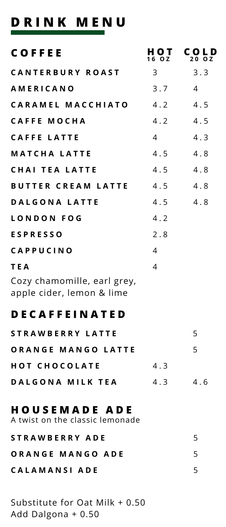## **D R I N K M E N U**

| <b>COFFEE</b>                                            | 1 O T<br>6 O Z | COLD<br>20 O.Z |
|----------------------------------------------------------|----------------|----------------|
| <b>CANTERBURY ROAST</b>                                  | 3              | 3.3            |
| <b>AMERICANO</b>                                         | 3.7            | 4              |
| CARAMEL MACCHIATO                                        | 4.2            | 4.5            |
| <b>CAFFE MOCHA</b>                                       | 4.2            | 4.5            |
| <b>CAFFE LATTE</b>                                       | 4              | 4.3            |
| <b>MATCHA LATTE</b>                                      | 4.5            | 4.8            |
| <b>CHAI TEA LATTE</b>                                    | 4.5            | 4.8            |
| <b>BUTTER CREAM LATTE</b>                                | 4.5            | 4.8            |
| <b>DALGONA LATTE</b>                                     | 4.5            | 4.8            |
| LONDON FOG                                               | 4.2            |                |
| <b>ESPRESSO</b>                                          | 2.8            |                |
| CAPPUCINO                                                | 4              |                |
| T E A                                                    | 4              |                |
| Cozy chamomille, earl grey,<br>apple cider, lemon & lime |                |                |

## **D E C A F F E I N A T E D**

| STRAWBERRY LATTE     |     | 5   |
|----------------------|-----|-----|
| ORANGE MANGO LATTE   |     | 5   |
| <b>HOT CHOCOLATE</b> | 43  |     |
| DALGONA MILK TEA     | 4.3 | 4.6 |

### **H O U S E M A D E A D E**

**S T R A W B E R R Y A D E O R A N G E M A N G O A D E C A L A M A N S I A D E** A twist on the classic lemonade 5 5 5

Substitute for Oat Milk + 0.50 Add Dalgona + 0.50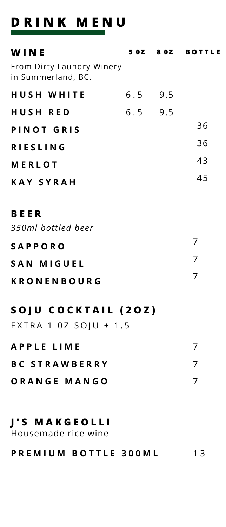# **D R I N K M E N U**

| WINE<br>From Dirty Laundry Winery                   |           | 50Z 80Z BOTTLE |
|-----------------------------------------------------|-----------|----------------|
| in Summerland, BC.                                  |           |                |
| <b>HUSH WHITE</b>                                   | $6.5$ 9.5 |                |
| <b>HUSH RED</b>                                     | $6.5$ 9.5 |                |
| PINOT GRIS                                          |           | 36             |
| <b>RIESLING</b>                                     |           | 36             |
| <b>MERLOT</b>                                       |           | 43             |
| <b>KAY SYRAH</b>                                    |           | 45             |
| <b>BEER</b><br>350ml bottled beer                   |           |                |
| <b>SAPPORO</b>                                      |           | 7              |
| <b>SAN MIGUEL</b>                                   |           | $\overline{7}$ |
| <b>KRONENBOURG</b>                                  |           | $\overline{7}$ |
| <b>SOJU COCKTAIL (20Z)</b><br>EXTRA 1 0Z SOJU + 1.5 |           |                |
| <b>APPLE LIME</b>                                   |           | 7              |
| <b>BC STRAWBERRY</b>                                |           | $\overline{7}$ |
| ORANGE MANGO                                        |           | $\overline{7}$ |
| <b>J'S MAKGEOLLI</b><br>Housemade rice wine         |           |                |

#### **P R E M I U M B O T T L E 3 0 0 M L**  $13$